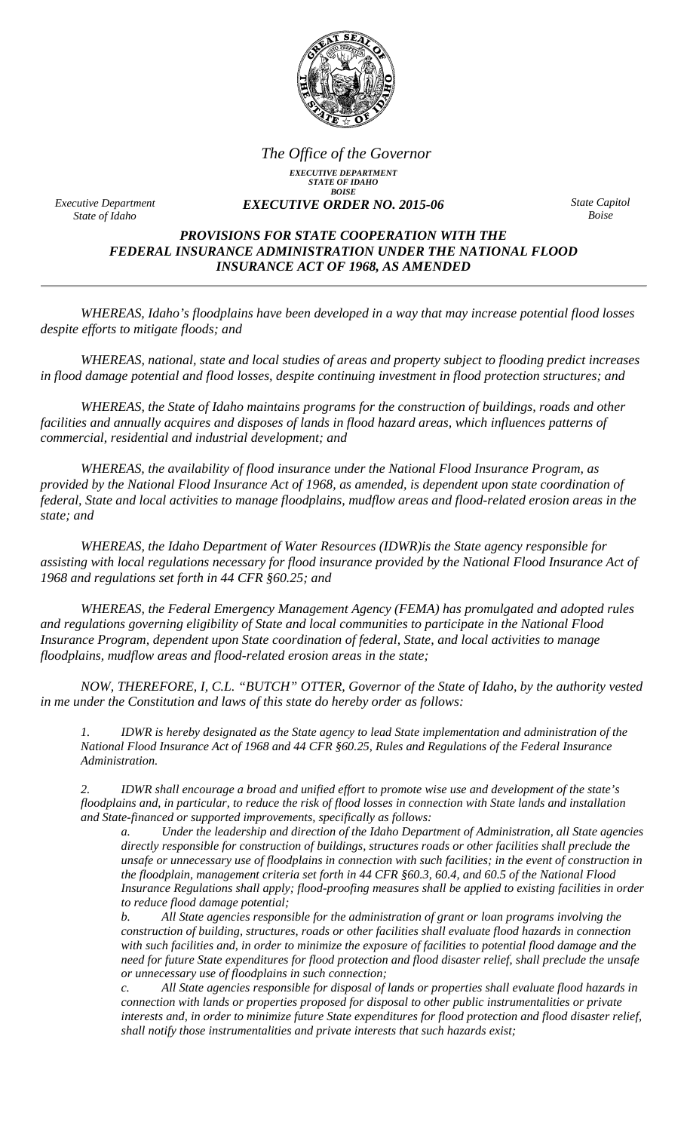

*EXECUTIVE DEPARTMENT STATE OF IDAHO BOISE EXECUTIVE ORDER NO. 2015-06 The Office of the Governor*

*Executive Department State of Idaho* 

*State Capitol Boise* 

## *PROVISIONS FOR STATE COOPERATION WITH THE FEDERAL INSURANCE ADMINISTRATION UNDER THE NATIONAL FLOOD INSURANCE ACT OF 1968, AS AMENDED*

*WHEREAS, Idaho's floodplains have been developed in a way that may increase potential flood losses despite efforts to mitigate floods; and* 

*WHEREAS, national, state and local studies of areas and property subject to flooding predict increases in flood damage potential and flood losses, despite continuing investment in flood protection structures; and* 

*WHEREAS, the State of Idaho maintains programs for the construction of buildings, roads and other facilities and annually acquires and disposes of lands in flood hazard areas, which influences patterns of commercial, residential and industrial development; and* 

*WHEREAS, the availability of flood insurance under the National Flood Insurance Program, as provided by the National Flood Insurance Act of 1968, as amended, is dependent upon state coordination of federal, State and local activities to manage floodplains, mudflow areas and flood-related erosion areas in the state; and* 

*WHEREAS, the Idaho Department of Water Resources (IDWR)is the State agency responsible for assisting with local regulations necessary for flood insurance provided by the National Flood Insurance Act of 1968 and regulations set forth in 44 CFR §60.25; and* 

*WHEREAS, the Federal Emergency Management Agency (FEMA) has promulgated and adopted rules and regulations governing eligibility of State and local communities to participate in the National Flood Insurance Program, dependent upon State coordination of federal, State, and local activities to manage floodplains, mudflow areas and flood-related erosion areas in the state;* 

*NOW, THEREFORE, I, C.L. "BUTCH" OTTER, Governor of the State of Idaho, by the authority vested in me under the Constitution and laws of this state do hereby order as follows:* 

*1. IDWR is hereby designated as the State agency to lead State implementation and administration of the National Flood Insurance Act of 1968 and 44 CFR §60.25, Rules and Regulations of the Federal Insurance Administration.* 

*2. IDWR shall encourage a broad and unified effort to promote wise use and development of the state's floodplains and, in particular, to reduce the risk of flood losses in connection with State lands and installation and State-financed or supported improvements, specifically as follows:* 

*a. Under the leadership and direction of the Idaho Department of Administration, all State agencies directly responsible for construction of buildings, structures roads or other facilities shall preclude the unsafe or unnecessary use of floodplains in connection with such facilities; in the event of construction in the floodplain, management criteria set forth in 44 CFR §60.3, 60.4, and 60.5 of the National Flood Insurance Regulations shall apply; flood-proofing measures shall be applied to existing facilities in order to reduce flood damage potential;* 

*b. All State agencies responsible for the administration of grant or loan programs involving the construction of building, structures, roads or other facilities shall evaluate flood hazards in connection with such facilities and, in order to minimize the exposure of facilities to potential flood damage and the need for future State expenditures for flood protection and flood disaster relief, shall preclude the unsafe or unnecessary use of floodplains in such connection;* 

*c. All State agencies responsible for disposal of lands or properties shall evaluate flood hazards in connection with lands or properties proposed for disposal to other public instrumentalities or private interests and, in order to minimize future State expenditures for flood protection and flood disaster relief, shall notify those instrumentalities and private interests that such hazards exist;*